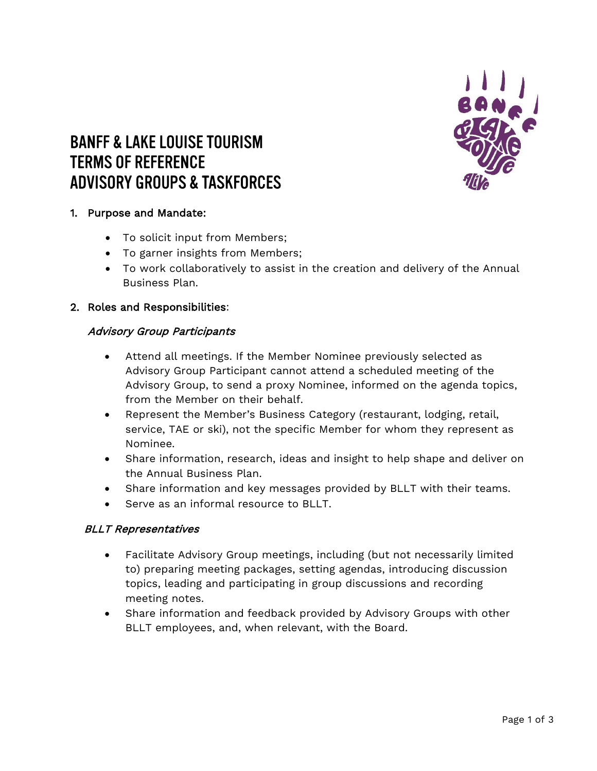

# **BANFF & LAKE LOUISE TOURISM TERMS OF REFERENCE ADVISORY GROUPS & TASKFORCES**

# 1. Purpose and Mandate:

- To solicit input from Members;
- To garner insights from Members;
- To work collaboratively to assist in the creation and delivery of the Annual Business Plan.

#### 2. Roles and Responsibilities:

#### Advisory Group Participants

- Attend all meetings. If the Member Nominee previously selected as Advisory Group Participant cannot attend a scheduled meeting of the Advisory Group, to send a proxy Nominee, informed on the agenda topics, from the Member on their behalf.
- Represent the Member's Business Category (restaurant, lodging, retail, service, TAE or ski), not the specific Member for whom they represent as Nominee.
- Share information, research, ideas and insight to help shape and deliver on the Annual Business Plan.
- Share information and key messages provided by BLLT with their teams.
- Serve as an informal resource to BLLT.

## BLLT Representatives

- Facilitate Advisory Group meetings, including (but not necessarily limited to) preparing meeting packages, setting agendas, introducing discussion topics, leading and participating in group discussions and recording meeting notes.
- Share information and feedback provided by Advisory Groups with other BLLT employees, and, when relevant, with the Board.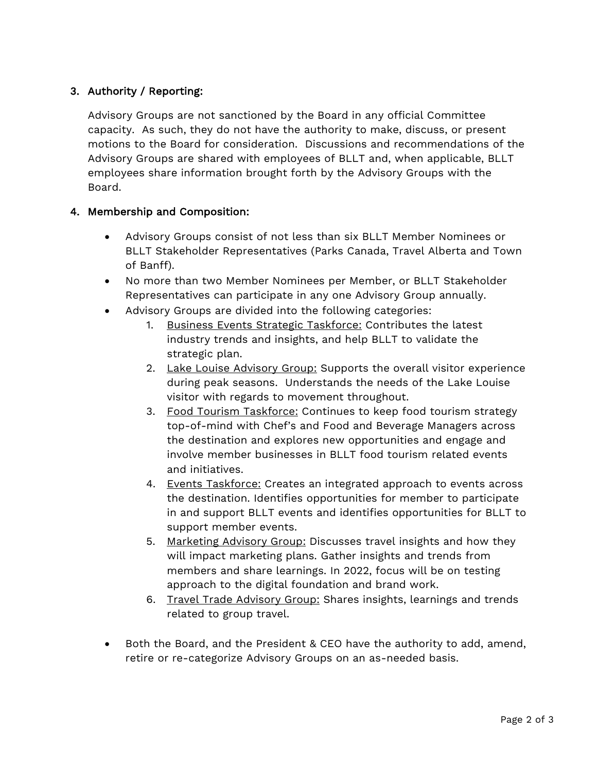# 3. Authority / Reporting:

Advisory Groups are not sanctioned by the Board in any official Committee capacity. As such, they do not have the authority to make, discuss, or present motions to the Board for consideration. Discussions and recommendations of the Advisory Groups are shared with employees of BLLT and, when applicable, BLLT employees share information brought forth by the Advisory Groups with the Board.

# 4. Membership and Composition:

- Advisory Groups consist of not less than six BLLT Member Nominees or BLLT Stakeholder Representatives (Parks Canada, Travel Alberta and Town of Banff).
- No more than two Member Nominees per Member, or BLLT Stakeholder Representatives can participate in any one Advisory Group annually.
- Advisory Groups are divided into the following categories:
	- 1. Business Events Strategic Taskforce: Contributes the latest industry trends and insights, and help BLLT to validate the strategic plan.
	- 2. Lake Louise Advisory Group: Supports the overall visitor experience during peak seasons. Understands the needs of the Lake Louise visitor with regards to movement throughout.
	- 3. Food Tourism Taskforce: Continues to keep food tourism strategy top-of-mind with Chef's and Food and Beverage Managers across the destination and explores new opportunities and engage and involve member businesses in BLLT food tourism related events and initiatives.
	- 4. Events Taskforce: Creates an integrated approach to events across the destination. Identifies opportunities for member to participate in and support BLLT events and identifies opportunities for BLLT to support member events.
	- 5. Marketing Advisory Group: Discusses travel insights and how they will impact marketing plans. Gather insights and trends from members and share learnings. In 2022, focus will be on testing approach to the digital foundation and brand work.
	- 6. Travel Trade Advisory Group: Shares insights, learnings and trends related to group travel.
- Both the Board, and the President & CEO have the authority to add, amend, retire or re-categorize Advisory Groups on an as-needed basis.